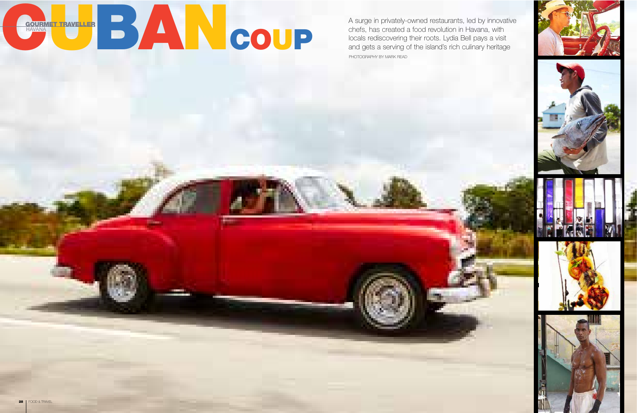

PHOTOGRAPHY BY MARK READ A surge in privately-owned restaurants, led by innovative chefs, has created a food revolution in Havana, with locals rediscovering their roots. Lydia Bell pays a visit and gets a serving of the island's rich culinary heritage









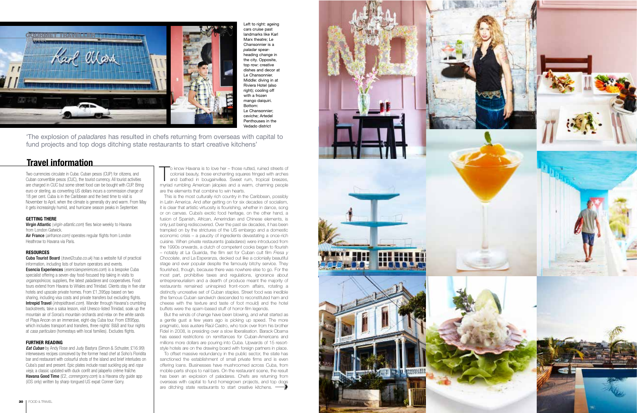# **Travel information**

The know Havana is to love her – those rutted, ruined streets of colonial beauty, those enchanting squares fringed with arches and bathed in bougainvillea. Sweet rum, tropical breezes, myriad rumbling American jalopies and o know Havana is to love her – those rutted, ruined streets of colonial beauty, those enchanting squares fringed with arches and bathed in bougainvillea. Sweet rum, tropical breezes, are the elements that combine to win hearts.

This is the most culturally rich country in the Caribbean, possibly in Latin America. And after getting on for six decades of socialism, it is clear that artistic virtuosity is flourishing, whether in dance, song or on canvas. Cuba's exotic food heritage, on the other hand, a fusion of Spanish, African, Amerindian and Chinese elements, is only just being rediscovered. Over the past six decades, it has been trampled on by the strictures of the US embargo and a domestic economic crisis – a paucity of ingredients devastating a once-rich cuisine. When private restaurants (*paladares*) were introduced from the 1990s onwards, a clutch of competent cooks began to flourish – notably at La Guarida, the film set for Cuban cult film *Fresa y Chocolate*, and La Esperanza, decked out like a colonially beautiful stage and ever popular despite the famously bitchy service. They flourished, though, because there was nowhere else to go. For the most part, prohibitive taxes and regulations, ignorance about entrepreneurialism and a dearth of produce meant the majority of restaurants remained uninspired front-room affairs, rotating a distinctly uncreative set of Cuban staples. Street food was inedible (the famous Cuban sandwich descended to reconstituted ham and cheese with the texture and taste of foot mould) and the hotel buffets were the spam-based stuff of horror-film legends.

To offset massive redundancy in the public sector, the state has sanctioned the establishment of small private firms and is even offering loans. Businesses have mushroomed across Cuba, from mobile-parts shops to nail bars. On the restaurant scene, the result has been an explosion of paladares. Chefs are returning from overseas with capital to fund homegrown projects, and top dogs are ditching state restaurants to start creative kitchens. **•••••••••••••••** 



Virgin Atlantic (virgin-atlantic.com) flies twice weekly to Havana from London Gatwick.

Air France (airfrance.com) operates regular flights from London Heathrow to Havana via Paris.

> But the winds of change have been blowing, and what started as a gentle gust a few years ago is picking up speed. The more pragmatic, less austere Raúl Castro, who took over from his brother Fidel in 2008, is presiding over a slow liberalisation. Barack Obama has eased restrictions on remittances for Cuban-Americans and millions more dollars are pouring into Cuba. Upwards of 15 resortstyle hotels are on the drawing board with foreign partners in place.

**Cuba Tourist Board** (*travel2cuba.co.uk*) has a website full of practical information, including lists of tourism operators and events. Esencia Experiences (esenciaexperiences.com) is a bespoke Cuba specialist offering a seven-day food-focused trip taking in visits to organopónicos, suppliers, the latest paladares and cooperatives. Food tours extend from Havana to Viñales and Trinidad. Clients stay in five-star hotels and upscale private homes. From £1,395pp based on two sharing, including visa costs and private transfers but excluding flights. **Intrepid Travel** (*intrepidtravel.com*). Wander through Havana's crumbling backstreets, take a salsa lesson, visit Unesco-listed Trinidad, soak up the mountain air of Soroa's mountain orchards and relax on the white sands of Playa Ancon on an immersive, eight-day Cuba tour. From £895pp, which includes transport and transfers, three nights' B&B and four nights at casa particulars (homestays with local families). Excludes flights.

**Eat Cuban** by Andy Rose and Judy Bastyra (Simon & Schuster, £16.99) interweaves recipes conceived by the former head chef at Soho's Floridita bar and restaurant with colourful shots of the island and brief interludes on Cuba's past and present. Epic plates include roast suckling pig and ropa vieja, a classic updated with duck confit and jalapeño crème fraîche. Havana Good Time (£2, connergorry.com) is a Havana city guide app (iOS only) written by sharp-tongued US expat Conner Gorry.

Left to right: ageing cars cruise past landmarks like Karl Marx theatre: Le Chansonnier is a *paladar* spearheading change in the city. Opposite, top row: creative dishes and decor at Le Chansonnier. Middle: diving in at Riviera Hotel (also right); cooling off with a frozen mango daiquiri. Bottom: Le Chansonnier; ceviche; Artedel Penthouses in the Vedado district



Two currencies circulate in Cuba: Cuban pesos (CUP) for citizens, and Cuban convertible pesos (CUC), the tourist currency. All tourist activities are charged in CUC but some street food can be bought with CUP. Bring euro or sterling, as converting US dollars incurs a commission charge of 18 per cent. Cuba is in the Caribbean and the best time to visit is November to April, when the climate is generally dry and warm. From May it gets increasingly humid, and hurricane season peaks in September.

### **GETTING THERE**

### **RESOURCES**

### **FURTHER READING**

'The explosion of *paladares* has resulted in chefs returning from overseas with capital to fund projects and top dogs ditching state restaurants to start creative kitchens'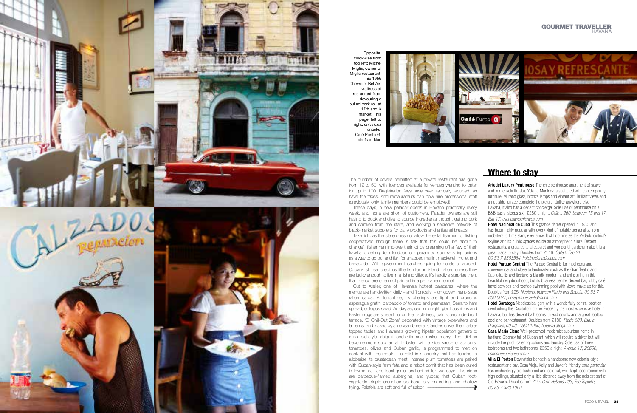

## **Where to stay**

Artedel Luxury Penthouse The chic penthouse apartment of suave and immensely likeable Ydalgo Martinez is scattered with contemporary furniture, Murano glass, bronze lamps and vibrant art. Brilliant views and an outside terrace complete the picture. Unlike anywhere else in Havana, it also has a decent concierge. Sole use of penthouse on a B&B basis (sleeps six), £280 a night. Calle I, 260, between 15 and 17, Esq 17, esenciaexperiences.com

**Hotel Nacional de Cuba** This grande dame opened in 1930 and has been highly popular with every kind of notable personality, from mobsters to films stars, ever since. It still dominates the Vedado district's skyline and its public spaces exude an atmospheric allure. Decent restaurants, a great cultural cabaret and wonderful gardens make this a great place to stay. Doubles from £116. Calle O Esq 21, 00 53 7 8363564, hotelnacionaldecuba.com

**Hotel Parque Central** The Parque Central is for mod cons and convenience, and close to landmarks such as the Gran Teatro and Capitolio. Its architecture is blandly modern and uninspiring in this beautiful neighbourhood, but its business centre, decent bar, lobby café, travel services and rooftop swimming pool with views make up for this. Doubles from £95. Neptuno, between Prado and Zulueta, 00 53 7 860 6627, hotelparquecentral-cuba.com

**Hotel Saratoga** Neoclassical gem with a wonderfully central position overlooking the Capitolio's dome. Probably the most expensive hotel in Havana, but has decent bathrooms, thread counts and a great rooftop pool and bar-restaurant. Doubles from £180. Prado 603, Esq. a Dragones, 00 53 7 868 1000, hotel-saratoga.com

**Villa El Portón** Downstairs beneath a handsome new colonial-style restaurant and bar, Casa Vieja, Kelly and Javier's friendly casa particular has enchantingly old-fashioned and colonial, well-kept, cool rooms with high ceilings, situated only a little distance away from the noisiest part of Old Havana. Doubles from £19. Calle Habana 203, Esq Tejadillo, 00 53 7 863 1009

Casa María Elena Well-preserved modernist suburban home in far-flung Siboney full of Cuban art, which will require a driver but will include the pool, catering options and laundry. Sole use of three bedrooms and two bathrooms, £350 a night. Avenue 17, 20606, esenciaexperiences.com

The number of covers permitted at a private restaurant has gone from 12 to 50, with licences available for venues wanting to cater for up to 100. Registration fees have been radically reduced, as have the taxes. And restaurateurs can now hire professional staff (previously, only family members could be employed). These days, a new paladar opens in Havana practically every

week, and none are short of customers. Paladar owners are still having to duck and dive to source ingredients though, getting pork and chicken from the state, and working a secretive network of

black-market suppliers for dairy products and artisanal breads. Take fish: as the state does not allow the establishment of fishing cooperatives (though there is talk that this could be about to change), fishermen improve their lot by creaming off a few of their trawl and selling door to door; or operate as sports-fishing unions as a way to go out and fish for snapper, marlin, mackerel, mullet and barracuda. With government catches going to hotels or abroad, Cubans still eat precious little fish for an island nation, unless they are lucky enough to live in a fishing village. It's hardly a surprise then, that menus are often not printed in a permanent format.

Cut to Atelier, one of Havana's hottest paladares, where the menus are handwritten daily – and 'ironically' – on government-issue ration cards. At lunchtime, its offerings are light and crunchy: asparagus gratin, carpaccio of tomato and parmesan, Serrano ham spread, octopus salad. As day segues into night, giant cushions and Eastern rugs are spread out on the cacti-lined, palm-surrounded roof terrace, ' El Chill-Out Zone' decorated with vintage typewriters and lanterns, and kissed by an ocean breeze. Candles cover the marbletopped tables and Havana's growing hipster population gathers to drink old-style daiquiri cocktails and make merry. The dishes become more substantial. Lobster, with a side sauce of sunburst tomatoes, olives and Cuban garlic, is programmed to melt on contact with the mouth – a relief in a country that has tended to rubberise its crustacean meat. Intense plum tomatoes are paired with Cuban-style farm feta and a rabbit confit that has been cured in thyme, salt and local garlic, and chilled for two days. The sides are barbecue-flamed aubergine, and yucca; that Cuban rootvegetable staple crunches up beautifully on salting and shallow frying. Falafels are soft and full of sabor.

Opposite, clockwise from top left: Michel Miglis, owner of Miglis restaurant: his 1956 Chevrolet Bel Air; waitress at restaurant Nao; devouring a pulled pork roll at  $17th$  and K market. This page, left to right: *chiviricos*  snacks; Café Punto G; chefs at Nao

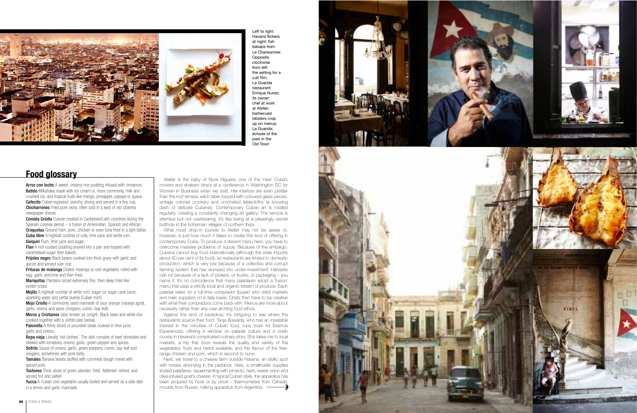

Atelier is the baby of Nuris Higuera, one of the 'new' Cuba's movers and shakers (she's at a conference in Washington DC for Women In Business when we visit). Her interiors are even prettier than the roof terrace: each table topped with coloured glass pieces, vintage colonial crockery and crocheted tablecloths (a knowing dash of delicate *Cubanía*). Contemporary Cuban art is rotated regularly, creating a constantly changing art gallery. The service is attentive but not overbearing. It's like being at a pleasingly secret bolthole in the bohemian villages of northern Ibiza.

What most drop-in tourists to Atelier may not be aware of, however, is just how much it takes to create this kind of offering in contemporary Cuba. To produce a decent menu here, you have to overcome massive problems of supply. Because of the embargo, Cubans cannot buy food internationally (although the state imports about 60 per cent of its food), so restaurants are limited to domestic production, which is very low because of a collective and corrupt farming system that has slumped into under-investment. Harvests can rot because of a lack of pickers, or trucks, or packaging – you name it. It's no coincidence that many paladares adopt a 'fusion' menu that uses a strictly local and organic stream of produce. Each paladar relies on a full-time *comprador* (buyer) who visits markets and main suppliers on a daily basis. Chefs then have to be creative with what their compradors come back with. Menus are more about

Flan A rich custard pudding poured into a pan and topped with caramelised sugar then baked.

**Frijoles negro** Black beans cooked into thick gravy with garlic and spices and served over rice.

Frituras de malanga Grated *malanga* (a root vegetable) rolled with egg, garlic and lime and then fried.

> necessity rather than any over-arching food ethos. Against this kind of backdrop, it's intriguing to see where the restaurants source their food. Tanja Buwalda, who has an insatiable interest in the minutiae of Cuban food, runs tours for Esencia Experiences, offering a window on paladar culture and a crash course in Havana's complicated culinary story. She takes me to local markets, a trip that soon reveals the quality and variety of the vegetables, fruits and herbs available, and the flavour of the freerange chicken and pork, which is second to none.

Mojo Criollo A commonly used marinade of sour orange (naranja agria), garlic, onions and spice (oregano, cumin, bay leaf).

Moros y Cristianos (also known as *congri*). Black bean and white rice cooked together with a sofrito (see below).

**Palomilla** A thinly sliced or pounded steak cooked in lime juice, garlic and onions.

**Ropa vieja** Literally 'old clothes'. The dish consists of beef shredded and stewed with tomatoes, onions, garlic, green pepper and spices. Sofrito Sauce of onions, garlic, green peppers, cumin, bay leaf and oregano, sometimes with pork belly.

Tamales Banana leaves stuffed with cornmeal dough mixed with spiced pork.

**Tostones** Thick slices of green plantain, fried, flattened, refried, and served hot and salted.

Yucca A Cuban root vegetable usually boiled and served as a side dish

Next, we travel to a cheese farm outside Havana, an idyllic spot with horses whinnying in the paddock. Here, a smallholder supplies trusted paladares, experimenting with pimento, herb, sweet onion and olive-infused goat's cheese; in typical Cuban style, the apparatus has been acquired by hook or by crook – thermometers from Canada, moulds from Russia, milking apparatus from Argentina.



Left to right: Havana flickers at night; fish kebabs from Le Chansonnier. Opposite, clockwise from left: the setting for a cult film, La Guarida restaurant; Enrique Nunez, its owner; chef at work at Atelier; barbecued lobsters crop up on menus; La Guarida; echoes of the past in the Old Town

Arroz con leche A sweet, creamy rice pudding infused with cinnamon. **Batido** Milkshake made with ice cream or, more commonly, milk and crushed ice, and tropical fruits like mango, pineapple, papaya or guava. **Cafecito** Cuban espresso: punchy, strong and served in a tiny cup. **Chicharrones** Fried pork skins, often sold in a twist of old *Granma* newspaper sheets. **Food glossary**<br> **Arroz con leche** A sweet, crea<br> **Batido** Milkshake made with icc<br> **Crushed ice, and tropical fruits li**<br> **Cafecito** Cuban espresso: punc<br> **Chicharrones** Fried pork skins,<br> **newspaper sheets.**<br> **Comida Cri** 

**Comida Criolla** Cuisine created in Caribbean/Latin countries during the Spanish colonial period – a fusion of Amerindian, Spanish and African. Croquetas Ground ham, pork, chicken or even tuna fried in a light batter. **Cuba libre** A highball cocktail of cola, lime juice and white rum. **Daiquiri** Rum, lime juice and sugar.

Mariquitas Plantains sliced extremely thin, then deep fried like potato crisps.

**Mojito** A highball cocktail of white rum, sugar (or sugar cane juice), sparkling water and *yerba buena* (Cuban mint).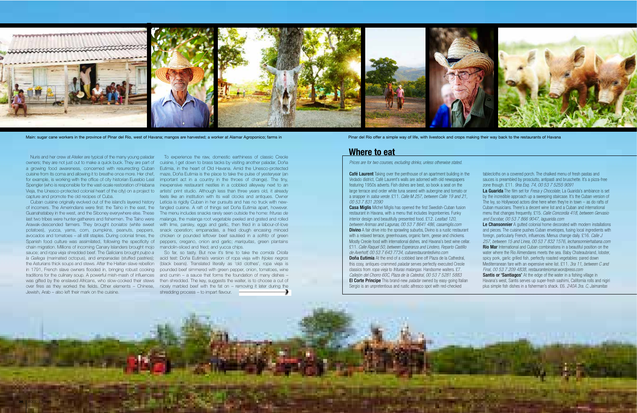

36 FOOD & TRAVEL FOOD & TRAVEL FOOD & TRAVEL TO TRAVEL TO TRAVEL AND A TRAVEL TO TRAVEL AND A TRAVEL TO TRAVEL TO TRAVEL TO TRAVEL TO TRAVEL TO TRAVEL TO TRAVEL TO TRAVEL TO TRAVEL TO TRAVEL TO TRAVEL TO TRAVEL TO TRAVEL T

## **Where to eat**

Prices are for two courses, excluding drinks, unless otherwise stated.

**Café Laurent** Taking over the penthouse of an apartment building in the Vedado district, Café Laurent's walls are adorned with old newspapers featuring 1950s adverts. Fish dishes are best, so book a seat on the large terrace and order white tuna seared with aubergine and tomato or a snapper in salsa verde. £11. Calle M 257, between Calle 19 and 21, 00 53 7 831 2090

**Casa Miglis** Michel Miglis has opened the first Swedish-Cuban fusion restaurant in Havana, with a menu that includes lingonberries. Funky interior design and beautifully presented food.  $£12$ . Lealtad 120, between Animas and Lagunas, 00 53 7 8641 486, casamiglis.com **Divino** A fair drive into the sprawling suburbs, Divino is a rustic restaurant with a relaxed terrace, greenhouses, organic farm, geese and chickens. Mostly Creole food with international dishes, and Havana's best wine cellar. £11. Calle Raquel 50, between Esperanza and Lindero, Reparto Castillo de Averhoff, 00 53 7 643 7734, cubarestaurantedivino.com **Doña Eutimia** At the end of a cobbled lane off Plaza de la Cathedral, this cosy, antiques-crammed paladar serves perfectly executed Creole classics from *ropa vieja* to *frituras malangas*. Handsome waiters. £7.

Callejón del Chorro 60C, Plaza de la Catedral, 00 53 7 5281 5883 **El Corte Principe** This brand-new *paladar* owned by easy-going Italian Sergio is an unpretentious and rustic alfresco spot with red-checked

Nuris and her crew at Atelier are typical of the many young paladar owners; they are not just out to make a quick buck. They are part of cuisine, I get down to brass tacks by visiting another paladar, Doña a growing food awareness, concerned with resurrecting Cuban Eutimia, in the heart of Old Havana. Amid the Unesco-protected cuisine from its coma and allowing it to breathe once more. Her chef, maze, Doña Eutimia is the place to take the pulse of yesteryear (an for example, is working with the office of city historian Eusebio Leal important act in a country in the throes of change). The tiny, Spengler (who is responsible for the vast-scale restoration of Habana inexpensive restaurant nestles in a cobbled alleyway next to an Vieja, the Unesco-protected colonial heart of the city) on a project to artists' print studio. Although less than three years old, it already capture and promote the old recipes of Cuba.

La Guarida The film set for *Fresa y Chocolate*, La Guarida's ambiance is set by the incredible approach up a sweeping staircase. It's the Cuban version of The Ivy, so Hollywood actors dine here when they're in town – as do rafts of Cuban musicians. There's a decent wine list and a Cuban and international menu that changes frequently. £15. Calle Concordia 418, between Gervasio and Escobar, 00 53 7 866 9047, laguarida.com

Le Chansonnier A gutted colonial home decorated with modern installations and pieces. The cuisine pushes Cuban envelopes, fusing local ingredients with foreign, particularly French, influences. Menus change daily. £16. Calle J 257, between 15 and Linea, 00 53 7 832 1576, lechansonnierhabana.com **Rio Mar** International and Cuban combinations in a beautiful position on the water where the Rio Almendares meets the sea. Baby Chateaubriand, lobster, spicy pork, garlic grilled fish, perfectly roasted vegetables: pared down Mediterranean fare with an expensive wine list. £11. 3ra 11, between C and Final, 00 53 7 209 4838, restauranteriomar.wordpress.com **Santis or 'Santiagos'** At the edge of the water in a fishing village in Havana's west, Santis serves up super-fresh sashimi, California rolls and nigiri plus simple fish dishes in a fisherman's shack. £6. 240A 3ra. C, Jaimanitas

Cuban cuisine originally evolved out of the island's layered history Leticia is rigidly Cuban in her pursuits and has no truck with newof incomers. The Amerindians were first: the Taíno in the east, the fangled cuisine. A raft of things set Doña Eutimia apart, however. Guanahatabey in the west, and the Siboney everywhere else. These The menu includes snacks rarely seen outside the home: *frituras de* last two tribes were hunter-gatherers and fishermen. The Taíno were *malanga*, the malanga root vegetable peeled and grated and rolled Arawak-descended farmers. They brought *boniatos* (white sweet with lime, parsley, eggs and garlic, then fried in a labour-of-love potatoes), yucca, yams, corn, pumpkins, peanuts, peppers, snack operation; empanadas, a fried dough encasing minced avocados and tomatoes – all still staples. During colonial times, the chicken or pounded leftover beef sautéed in a *sofrito* of green Spanish food culture was assimilated, following the specificity of peppers, oregano, onion and garlic; *mariquitas*, green plantains To experience the raw, domestic earthiness of classic Creole feels like an institution with its wall clocks and antiques. Owner

chain migration. Millions of incoming Canary Islanders brought mojo mandolin-sliced and fried; and yucca chips. sauce; and *ropa vieja* shredded beef. The Galicians brought *pulpo a*  So far, so tasty. But now it's time to take the *comida Criolla*  Jewish, Arab – also left their mark on the cuisine.

tablecloths on a covered porch. The chalked menu of fresh pastas and sauces is preambled by prosciutto, antipasti and bruschette. It's a pizza-free zone though. £11. 9na Esq. 74, 00 53 7 5255 9091

*la Gallega* (marinated octopus), and *empanadas* (stuffed pastries); acid test: Doña Eutimia's version of ropa vieja with *frijoles negros*  the Asturians thick soups and stews. After the Haitian slave rebellion (black beans). Translated literally as 'old clothes', ropa vieja is in 1791, French slave owners flooded in, bringing robust cooking pounded beef simmered with green pepper, onion, tomatoes, wine traditions for the culinary soup. A powerful mish-mash of influences and cumin – a sauce that forms the foundation of many dishes – was gifted by the enslaved Africans, who slow-cooked their stews then shredded. The key, suggests the waiter, is to choose a cut of over fires as they worked the fields. Other elements – Chinese, nicely marbled beef with the fat on – removing it later during the shredding process – to impart flavour.

Main: sugar cane workers in the province of Pinar del Río, west of Havana; mangos are harvested; a worker at Alamar Agroponico; farms in Pinar del Río offer a simple way of life, with livestock and crops making their way b